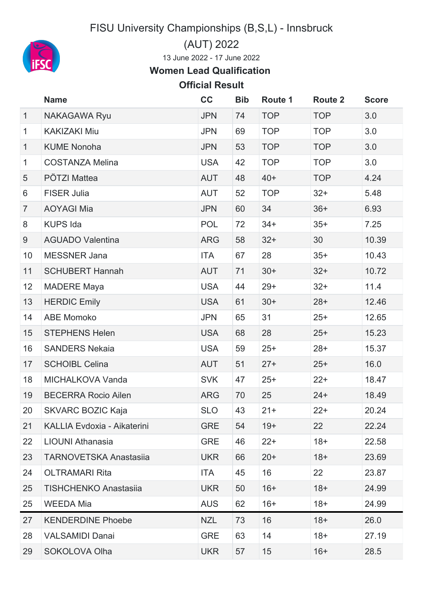FISU University Championships (B,S,L) - Innsbruck



(AUT) 2022

June 2022 - 17 June 2022

## **Women Lead Qualification**

## **Official Result**

|                | <b>Name</b>                   | cc         | <b>Bib</b> | Route 1    | <b>Route 2</b> | <b>Score</b> |
|----------------|-------------------------------|------------|------------|------------|----------------|--------------|
| $\mathbf{1}$   | <b>NAKAGAWA Ryu</b>           | <b>JPN</b> | 74         | <b>TOP</b> | <b>TOP</b>     | 3.0          |
| $\mathbf{1}$   | <b>KAKIZAKI Miu</b>           | <b>JPN</b> | 69         | <b>TOP</b> | <b>TOP</b>     | 3.0          |
| $\mathbf{1}$   | <b>KUME Nonoha</b>            | <b>JPN</b> | 53         | <b>TOP</b> | <b>TOP</b>     | 3.0          |
| $\mathbf{1}$   | <b>COSTANZA Melina</b>        | <b>USA</b> | 42         | <b>TOP</b> | <b>TOP</b>     | 3.0          |
| 5              | PÖTZI Mattea                  | <b>AUT</b> | 48         | $40+$      | <b>TOP</b>     | 4.24         |
| 6              | <b>FISER Julia</b>            | <b>AUT</b> | 52         | <b>TOP</b> | $32+$          | 5.48         |
| $\overline{7}$ | <b>AOYAGI Mia</b>             | <b>JPN</b> | 60         | 34         | $36+$          | 6.93         |
| 8              | <b>KUPS Ida</b>               | <b>POL</b> | 72         | $34+$      | $35+$          | 7.25         |
| 9              | <b>AGUADO Valentina</b>       | <b>ARG</b> | 58         | $32+$      | 30             | 10.39        |
| 10             | <b>MESSNER Jana</b>           | <b>ITA</b> | 67         | 28         | $35+$          | 10.43        |
| 11             | <b>SCHUBERT Hannah</b>        | <b>AUT</b> | 71         | $30+$      | $32+$          | 10.72        |
| 12             | <b>MADERE Maya</b>            | <b>USA</b> | 44         | $29+$      | $32+$          | 11.4         |
| 13             | <b>HERDIC Emily</b>           | <b>USA</b> | 61         | $30+$      | $28+$          | 12.46        |
| 14             | <b>ABE Momoko</b>             | <b>JPN</b> | 65         | 31         | $25+$          | 12.65        |
| 15             | <b>STEPHENS Helen</b>         | <b>USA</b> | 68         | 28         | $25+$          | 15.23        |
| 16             | <b>SANDERS Nekaia</b>         | <b>USA</b> | 59         | $25+$      | $28+$          | 15.37        |
| 17             | <b>SCHOIBL Celina</b>         | <b>AUT</b> | 51         | $27+$      | $25+$          | 16.0         |
| 18             | MICHALKOVA Vanda              | <b>SVK</b> | 47         | $25+$      | $22+$          | 18.47        |
| 19             | <b>BECERRA Rocio Ailen</b>    | <b>ARG</b> | 70         | 25         | $24+$          | 18.49        |
| 20             | SKVARC BOZIC Kaja             | <b>SLO</b> | 43         | $21+$      | $22+$          | 20.24        |
| 21             | KALLIA Evdoxia - Aikaterini   | <b>GRE</b> | 54         | $19+$      | 22             | 22.24        |
| 22             | <b>LIOUNI Athanasia</b>       | <b>GRE</b> | 46         | $22+$      | $18+$          | 22.58        |
| 23             | <b>TARNOVETSKA Anastasiia</b> | <b>UKR</b> | 66         | $20+$      | $18+$          | 23.69        |
| 24             | <b>OLTRAMARI Rita</b>         | ITA        | 45         | 16         | 22             | 23.87        |
| 25             | <b>TISHCHENKO Anastasija</b>  | <b>UKR</b> | 50         | $16+$      | $18+$          | 24.99        |
| 25             | <b>WEEDA Mia</b>              | <b>AUS</b> | 62         | $16+$      | $18+$          | 24.99        |
| 27             | <b>KENDERDINE Phoebe</b>      | <b>NZL</b> | 73         | 16         | $18+$          | 26.0         |
| 28             | <b>VALSAMIDI Danai</b>        | <b>GRE</b> | 63         | 14         | $18+$          | 27.19        |
| 29             | SOKOLOVA Olha                 | <b>UKR</b> | 57         | 15         | $16+$          | 28.5         |